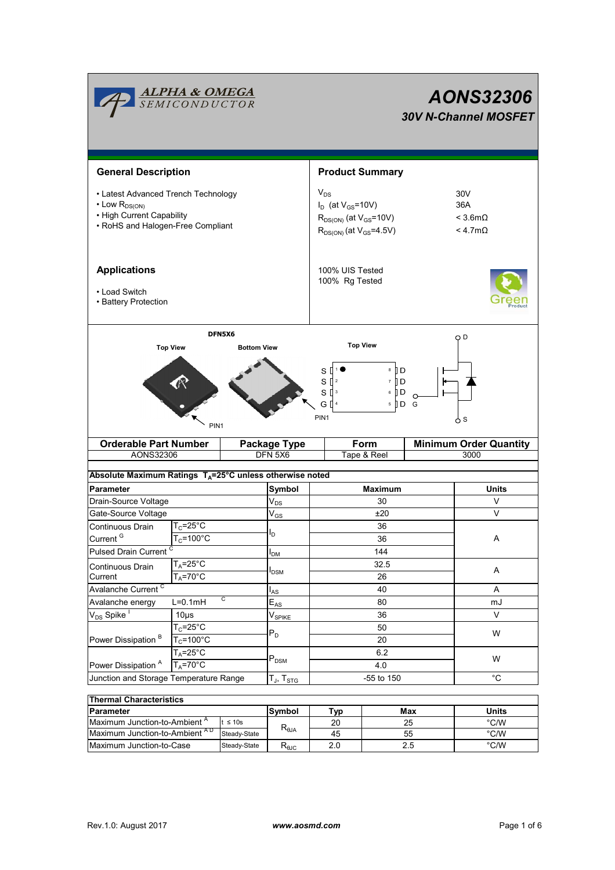| <b>ALPHA &amp; OMEGA</b><br>SEMICONDUCTOR                                                                                         |                                                     |  |                            |                                                                                                               | <b>AONS32306</b><br><b>30V N-Channel MOSFET</b> |                                       |                                                   |  |  |  |
|-----------------------------------------------------------------------------------------------------------------------------------|-----------------------------------------------------|--|----------------------------|---------------------------------------------------------------------------------------------------------------|-------------------------------------------------|---------------------------------------|---------------------------------------------------|--|--|--|
| <b>General Description</b>                                                                                                        |                                                     |  |                            | <b>Product Summary</b>                                                                                        |                                                 |                                       |                                                   |  |  |  |
| • Latest Advanced Trench Technology<br>$\cdot$ Low $R_{DS(ON)}$<br>• High Current Capability<br>• RoHS and Halogen-Free Compliant |                                                     |  |                            | $V_{DS}$<br>$I_D$ (at $V_{GS}$ =10V)<br>$R_{DS(ON)}$ (at $V_{GS}$ =10V)<br>$R_{DS(ON)}$ (at $V_{GS} = 4.5V$ ) |                                                 |                                       | 30V<br>36A<br>$<$ 3.6m $\Omega$<br>$< 4.7m\Omega$ |  |  |  |
| <b>Applications</b><br>• Load Switch<br>• Battery Protection                                                                      |                                                     |  |                            | 100% UIS Tested<br>100% Rg Tested                                                                             |                                                 |                                       |                                                   |  |  |  |
| DFN5X6<br><b>Top View</b><br><b>Bottom View</b>                                                                                   |                                                     |  |                            | <b>Top View</b>                                                                                               |                                                 |                                       | O D                                               |  |  |  |
| PIN <sub>1</sub>                                                                                                                  |                                                     |  |                            | 8 ∏ D<br>s ll<br>$S^{2}$<br>7 I D<br>$S^{\prod 3}$<br>6 ∐ D<br>G [<br>$5$ D G<br>PIN1<br>6 S                  |                                                 |                                       |                                                   |  |  |  |
|                                                                                                                                   | <b>Orderable Part Number</b>                        |  | <b>Package Type</b>        |                                                                                                               | Form                                            | <b>Minimum Order Quantity</b><br>3000 |                                                   |  |  |  |
| AONS32306<br>Absolute Maximum Ratings $T_A = 25^\circ \text{C}$ unless otherwise noted                                            |                                                     |  | DFN 5X6                    |                                                                                                               | Tape & Reel                                     |                                       |                                                   |  |  |  |
| <b>Parameter</b>                                                                                                                  |                                                     |  | Symbol                     |                                                                                                               | <b>Maximum</b>                                  |                                       | <b>Units</b>                                      |  |  |  |
| Drain-Source Voltage                                                                                                              |                                                     |  | $V_{DS}$                   | 30                                                                                                            |                                                 |                                       | V                                                 |  |  |  |
| Gate-Source Voltage                                                                                                               |                                                     |  | $\mathsf{V}_{\mathsf{GS}}$ | ±20                                                                                                           |                                                 |                                       | V                                                 |  |  |  |
| Continuous Drain                                                                                                                  | $T_c = 25^{\circ}C$                                 |  |                            | 36                                                                                                            |                                                 |                                       |                                                   |  |  |  |
| Current <sup>G</sup>                                                                                                              | $T_c = 100^{\circ}$ C                               |  | l <sub>D</sub>             | 36                                                                                                            |                                                 |                                       |                                                   |  |  |  |
| Pulsed Drain Current <sup>C</sup>                                                                                                 |                                                     |  | 144<br>I <sub>DM</sub>     |                                                                                                               |                                                 |                                       |                                                   |  |  |  |
| Continuous Drain                                                                                                                  | $T_A = 25^\circ \overline{C}$<br>$T_A = 70^\circ C$ |  |                            | 32.5<br>26                                                                                                    |                                                 |                                       | A                                                 |  |  |  |
| Current                                                                                                                           |                                                     |  | I <sub>DSM</sub>           |                                                                                                               |                                                 |                                       |                                                   |  |  |  |
|                                                                                                                                   | Avalanche Current <sup>C</sup>                      |  | l <sub>AS</sub>            | 40                                                                                                            |                                                 |                                       | Α                                                 |  |  |  |
| Avalanche energy                                                                                                                  | C<br>$L=0.1mH$                                      |  | $\mathsf{E}_{\mathsf{AS}}$ | 80                                                                                                            |                                                 |                                       | mJ                                                |  |  |  |
| $V_{DS}$ Spike                                                                                                                    | 10 <sub>µ</sub> s                                   |  | V <sub>SPIKE</sub>         | 36                                                                                                            |                                                 |                                       | V                                                 |  |  |  |
| Power Dissipation <sup>B</sup>                                                                                                    | $T_c = 25^\circ C$                                  |  | $P_D$                      |                                                                                                               | 50                                              |                                       | W                                                 |  |  |  |
|                                                                                                                                   | $T_c = 100^{\circ}$ C                               |  |                            | 20                                                                                                            |                                                 |                                       |                                                   |  |  |  |
|                                                                                                                                   | $T_A = 25^\circ C$                                  |  |                            | 6.2                                                                                                           |                                                 |                                       | W                                                 |  |  |  |
| $T_A = 70^\circ C$<br>Power Dissipation <sup>A</sup>                                                                              |                                                     |  | $\mathsf{P}_\mathsf{DSM}$  | 4.0                                                                                                           |                                                 |                                       |                                                   |  |  |  |
| Junction and Storage Temperature Range                                                                                            |                                                     |  | $T_J$ , $T_{STG}$          | -55 to 150                                                                                                    |                                                 |                                       | $^{\circ}$ C                                      |  |  |  |
| <b>Thermal Characteristics</b>                                                                                                    |                                                     |  |                            |                                                                                                               |                                                 |                                       |                                                   |  |  |  |
|                                                                                                                                   |                                                     |  |                            |                                                                                                               |                                                 |                                       |                                                   |  |  |  |

| <b>Thermal Characteristics</b>           |              |                                  |     |       |      |  |  |  |
|------------------------------------------|--------------|----------------------------------|-----|-------|------|--|--|--|
| <b>Parameter</b>                         | Symbol       | Typ                              | Max | Units |      |  |  |  |
| Maximum Junction-to-Ambient <sup>"</sup> | $t \leq 10s$ |                                  | 20  | 25    | °C/W |  |  |  |
| Maximum Junction-to-Ambient AD           | Steady-State | $\mathsf{R}_{\theta\mathsf{JA}}$ | 45  | 55    | °C/W |  |  |  |
| Maximum Junction-to-Case                 | Steady-State | ∿θJC                             | 2.0 |       | °C/W |  |  |  |

Ĭ.

Ĩ.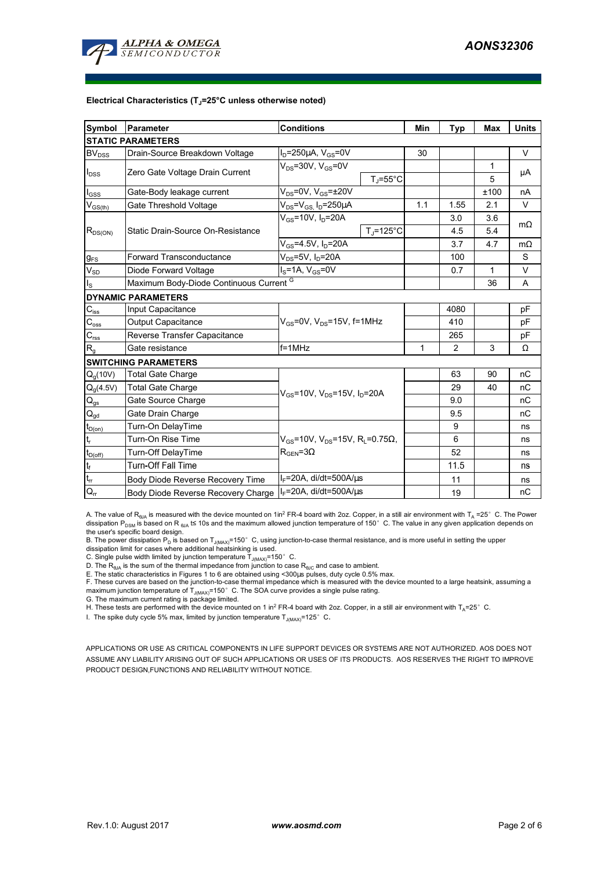

#### **Electrical Characteristics (TJ=25°C unless otherwise noted)**

| Symbol                                  | Parameter                               | <b>Conditions</b>                                                                                         |                     | Min  | <b>Typ</b> | <b>Max</b>   | <b>Units</b> |  |  |
|-----------------------------------------|-----------------------------------------|-----------------------------------------------------------------------------------------------------------|---------------------|------|------------|--------------|--------------|--|--|
| <b>STATIC PARAMETERS</b>                |                                         |                                                                                                           |                     |      |            |              |              |  |  |
| BV <sub>DSS</sub>                       | Drain-Source Breakdown Voltage          | $I_D = 250 \mu A$ , $V_{GS} = 0V$                                                                         |                     | 30   |            |              | V            |  |  |
| $I_{DSS}$                               | Zero Gate Voltage Drain Current         | $V_{DS}$ =30V, $V_{GS}$ =0V                                                                               |                     |      |            | 1            |              |  |  |
|                                         |                                         |                                                                                                           | $T_J = 55^{\circ}C$ |      |            | 5            | μA           |  |  |
| $I_{GSS}$                               | Gate-Body leakage current               | $V_{DS}$ =0V, $V_{GS}$ = $\pm$ 20V                                                                        |                     |      |            | ±100         | nA           |  |  |
| $\mathsf{V}_{\mathsf{GS}(\mathsf{th})}$ | Gate Threshold Voltage                  | $V_{DS} = V_{GS}$ , $I_D = 250 \mu A$                                                                     |                     | 1.1  | 1.55       | 2.1          | $\vee$       |  |  |
| $R_{DS(ON)}$                            | Static Drain-Source On-Resistance       | $V_{GS}$ =10V, $I_D$ =20A                                                                                 |                     |      |            | 3.6          | $m\Omega$    |  |  |
|                                         |                                         |                                                                                                           | $T = 125^{\circ}$ C |      | 4.5        | 5.4          |              |  |  |
|                                         |                                         | $V_{GS}$ =4.5V, I <sub>D</sub> =20A                                                                       |                     |      | 3.7        | 4.7          | $m\Omega$    |  |  |
| $g_{FS}$                                | <b>Forward Transconductance</b>         | $V_{DS}$ =5V, $I_D$ =20A                                                                                  |                     |      | 100        |              | S            |  |  |
| $V_{SD}$                                | Diode Forward Voltage                   | $I_S = 1A$ , $V_{GS} = 0V$                                                                                |                     |      | 0.7        | $\mathbf{1}$ | $\vee$       |  |  |
| $I_{\rm S}$                             | Maximum Body-Diode Continuous Current G |                                                                                                           |                     |      | 36         | A            |              |  |  |
|                                         | <b>DYNAMIC PARAMETERS</b>               |                                                                                                           |                     |      |            |              |              |  |  |
| $C_{\text{iss}}$                        | Input Capacitance                       |                                                                                                           |                     |      | 4080       |              | pF           |  |  |
| $C_{\rm oss}$                           | <b>Output Capacitance</b>               | $V_{GS}$ =0V, $V_{DS}$ =15V, f=1MHz                                                                       |                     | 410  |            | pF           |              |  |  |
| $C_{\text{rss}}$                        | Reverse Transfer Capacitance            |                                                                                                           |                     | 265  |            | pF           |              |  |  |
| $R_{q}$                                 | Gate resistance                         | $f = 1$ MHz                                                                                               | 1                   | 2    | 3          | Ω            |              |  |  |
|                                         | <b>SWITCHING PARAMETERS</b>             |                                                                                                           |                     |      |            |              |              |  |  |
| $Q_q(10V)$                              | <b>Total Gate Charge</b>                | $V_{GS}$ =10V, V <sub>DS</sub> =15V, I <sub>D</sub> =20A                                                  |                     |      | 63         | 90           | nC           |  |  |
| $Q_g(4.5V)$                             | <b>Total Gate Charge</b>                |                                                                                                           |                     |      | 29         | 40           | nC           |  |  |
| $Q_{gs}$                                | Gate Source Charge                      |                                                                                                           |                     |      | 9.0        |              | nC           |  |  |
| $\mathsf{Q}_{\underline{\mathsf{gd}}}$  | Gate Drain Charge                       |                                                                                                           |                     |      | 9.5        |              | nC           |  |  |
| $t_{D(0n)}$                             | Turn-On DelayTime                       | $V_{\text{gs}}$ =10V, V <sub>DS</sub> =15V, R <sub>L</sub> =0.75 $\Omega$ ,<br>$R_{\text{GEN}} = 3\Omega$ |                     |      | 9          |              | ns           |  |  |
|                                         | Turn-On Rise Time                       |                                                                                                           |                     |      | 6          |              | ns           |  |  |
| $t_{D(off)}$                            | Turn-Off DelayTime                      |                                                                                                           |                     |      | 52         |              | ns           |  |  |
| $t_f$                                   | <b>Turn-Off Fall Time</b>               |                                                                                                           |                     | 11.5 |            | ns           |              |  |  |
| $t_{rr}$                                | Body Diode Reverse Recovery Time        | $I_F$ =20A, di/dt=500A/ $\mu$ s                                                                           |                     |      | 11         |              | ns           |  |  |
| $Q_{rr}$                                | Body Diode Reverse Recovery Charge      | $I_F$ =20A, di/dt=500A/us                                                                                 |                     | 19   |            | пC           |              |  |  |

A. The value of R<sub>BJA</sub> is measured with the device mounted on 1in<sup>2</sup> FR-4 board with 2oz. Copper, in a still air environment with T<sub>A</sub> =25° C. The Power dissipation P<sub>DSM</sub> is based on R <sub>θJA</sub> t≤ 10s and the maximum allowed junction temperature of 150°C. The value in any given application depends on the user's specific board design.

B. The power dissipation P<sub>D</sub> is based on T<sub>J(MAX)</sub>=150°C, using junction-to-case thermal resistance, and is more useful in setting the upper<br>dissipation limit for cases where additional heatsinking is used.

C. Single pulse width limited by junction temperature  $T_{J(MAX)}$ =150°C.

D. The  $R_{\theta JA}$  is the sum of the thermal impedance from junction to case  $R_{\theta JC}$  and case to ambient.

E. The static characteristics in Figures 1 to 6 are obtained using <300us pulses, duty cycle 0.5% max.

F. These curves are based on the junction-to-case thermal impedance which is measured with the device mounted to a large heatsink, assuming a maximum junction temperature of  $T_{J(MAX)}$ =150°C. The SOA curve provides a single pulse rating.

G. The maximum current rating is package limited.

H. These tests are performed with the device mounted on 1 in<sup>2</sup> FR-4 board with 2oz. Copper, in a still air environment with T<sub>A</sub>=25°C.

I. The spike duty cycle 5% max, limited by junction temperature  $T_{J(MAX)}$ =125°C.

APPLICATIONS OR USE AS CRITICAL COMPONENTS IN LIFE SUPPORT DEVICES OR SYSTEMS ARE NOT AUTHORIZED. AOS DOES NOT ASSUME ANY LIABILITY ARISING OUT OF SUCH APPLICATIONS OR USES OF ITS PRODUCTS. AOS RESERVES THE RIGHT TO IMPROVE PRODUCT DESIGN,FUNCTIONS AND RELIABILITY WITHOUT NOTICE.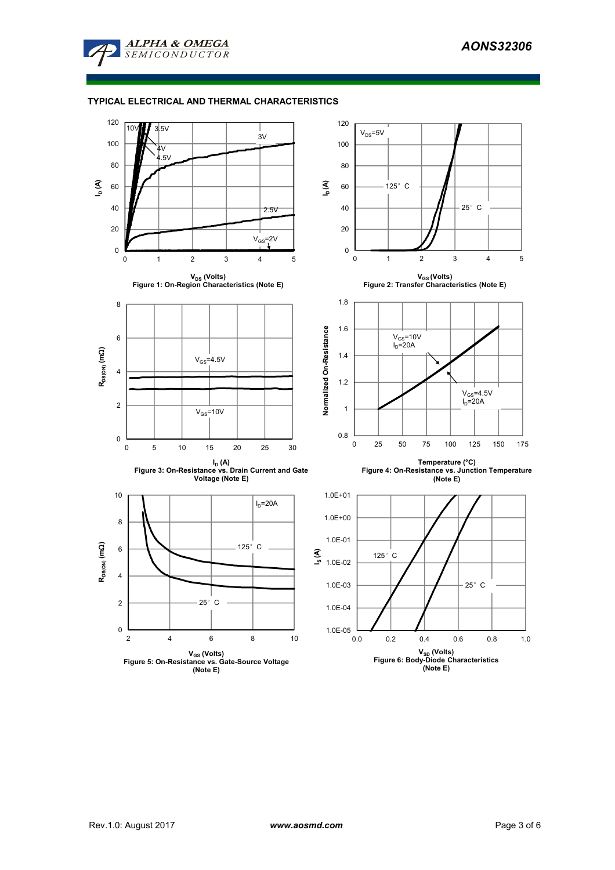

## **TYPICAL ELECTRICAL AND THERMAL CHARACTERISTICS**

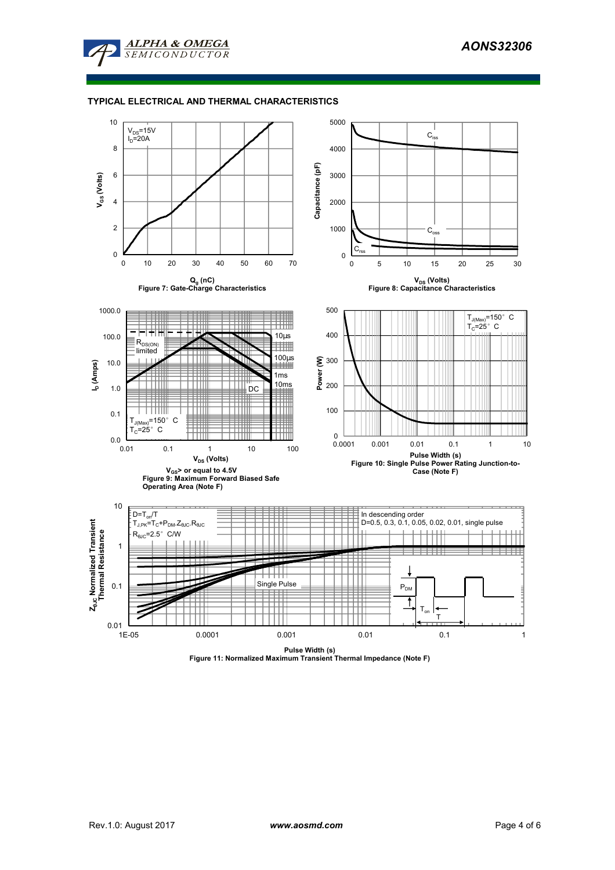

## **TYPICAL ELECTRICAL AND THERMAL CHARACTERISTICS**



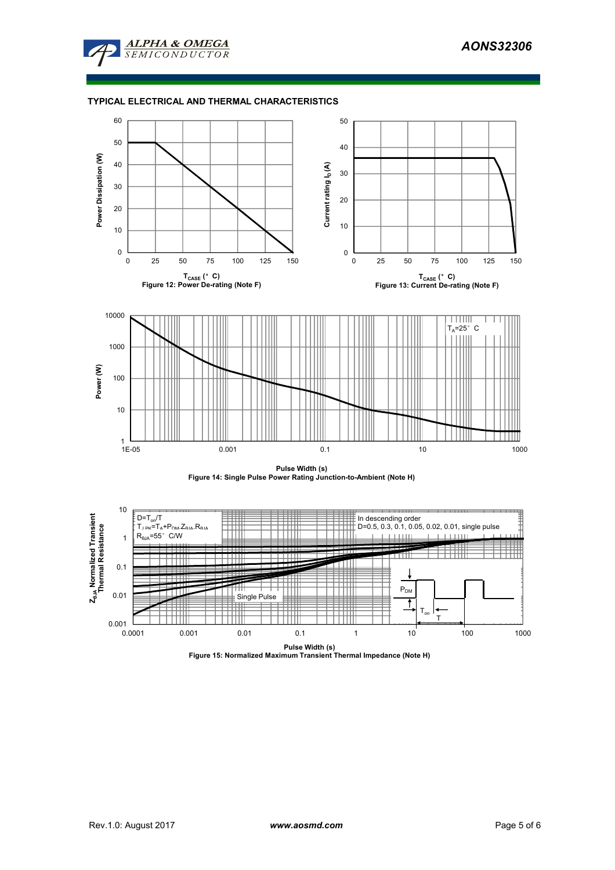

### **TYPICAL ELECTRICAL AND THERMAL CHARACTERISTICS**







**Pulse Width (s) Figure 15: Normalized Maximum Transient Thermal Impedance (Note H)**